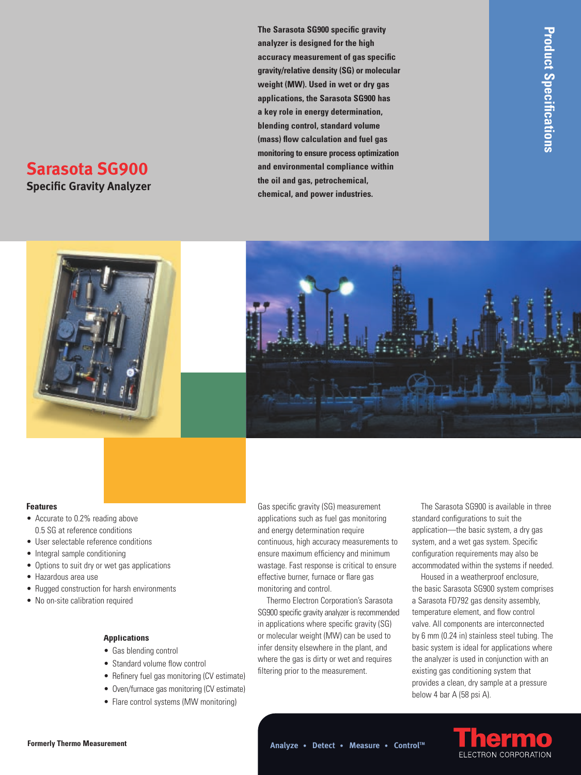# **Sarasota SG900**

**Specific Gravity Analyzer** 

**The Sarasota SG900 specific gravity analyzer is designed for the high accuracy measurement of gas specific gravity/relative density (SG) or molecular weight (MW). Used in wet or dry gas applications, the Sarasota SG900 has a key role in energy determination, blending control, standard volume (mass) flow calculation and fuel gas monitoring to ensure process optimization and environmental compliance within the oil and gas, petrochemical, chemical, and power industries.** 



#### **Features**

- Accurate to 0.2% reading above 0.5 SG at reference conditions
- User selectable reference conditions
- Integral sample conditioning
- Options to suit dry or wet gas applications
- Hazardous area use
- Rugged construction for harsh environments
- No on-site calibration required

#### **Applications**

- Gas blending control
- Standard volume flow control
- Refinery fuel gas monitoring (CV estimate)
- Oven/furnace gas monitoring (CV estimate)
- Flare control systems (MW monitoring)

Gas specific gravity (SG) measurement applications such as fuel gas monitoring and energy determination require continuous, high accuracy measurements to ensure maximum efficiency and minimum wastage. Fast response is critical to ensure effective burner, furnace or flare gas monitoring and control.

Thermo Electron Corporation's Sarasota SG900 specific gravity analyzer is recommended in applications where specific gravity (SG) or molecular weight (MW) can be used to infer density elsewhere in the plant, and where the gas is dirty or wet and requires filtering prior to the measurement.

The Sarasota SG900 is available in three standard configurations to suit the application—the basic system, a dry gas system, and a wet gas system. Specific configuration requirements may also be accommodated within the systems if needed.

Housed in a weatherproof enclosure, the basic Sarasota SG900 system comprises a Sarasota FD792 gas density assembly, temperature element, and flow control valve. All components are interconnected by 6 mm (0.24 in) stainless steel tubing. The basic system is ideal for applications where the analyzer is used in conjunction with an existing gas conditioning system that provides a clean, dry sample at a pressure below 4 bar A (58 psi A).

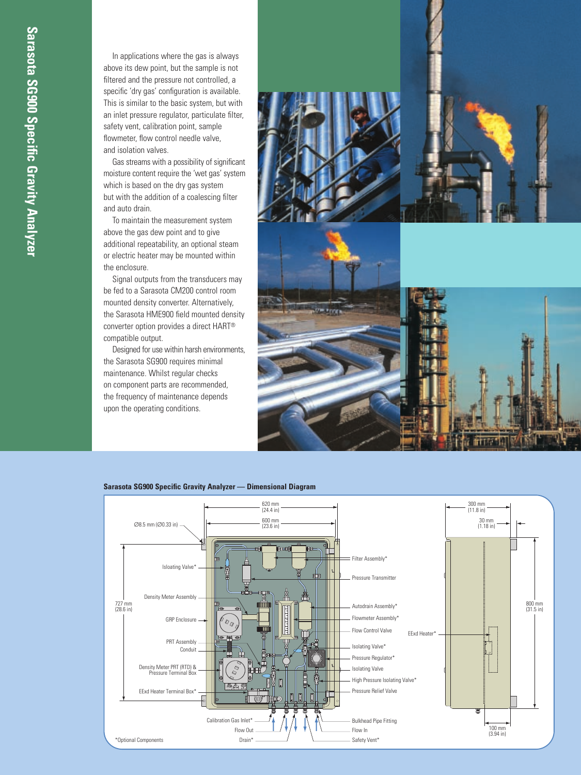In applications where the gas is always above its dew point, but the sample is not filtered and the pressure not controlled, a specific 'dry gas' configuration is available. This is similar to the basic system, but with an inlet pressure regulator, particulate filter, safety vent, calibration point, sample flowmeter, flow control needle valve, and isolation valves.

Gas streams with a possibility of significant moisture content require the 'wet gas' system which is based on the dry gas system but with the addition of a coalescing filter and auto drain.

To maintain the measurement system above the gas dew point and to give additional repeatability, an optional steam or electric heater may be mounted within the enclosure.

Signal outputs from the transducers may be fed to a Sarasota CM200 control room mounted density converter. Alternatively, the Sarasota HME900 field mounted density converter option provides a direct HART® compatible output.

Designed for use within harsh environments, the Sarasota SG900 requires minimal maintenance. Whilst regular checks on component parts are recommended, the frequency of maintenance depends upon the operating conditions.





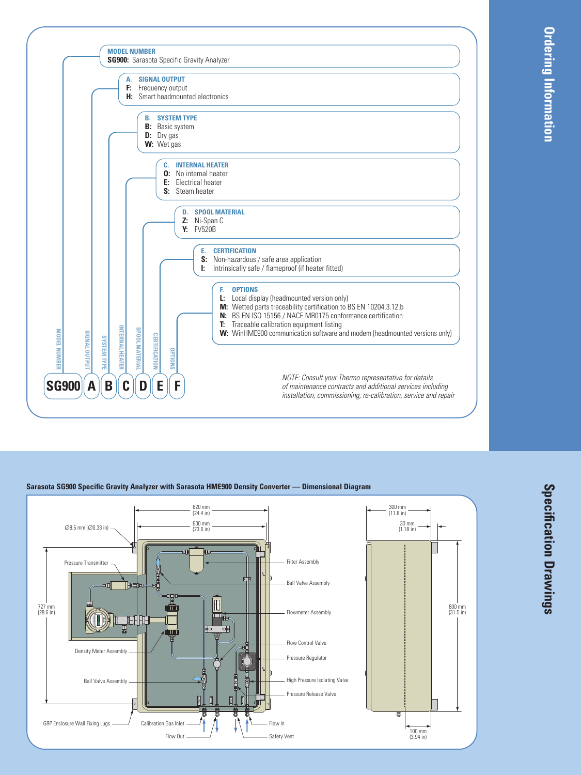

### **Sarasota SG900 Specific Gravity Analyzer with Sarasota HME900 Density Converter — Dimensional Diagram**